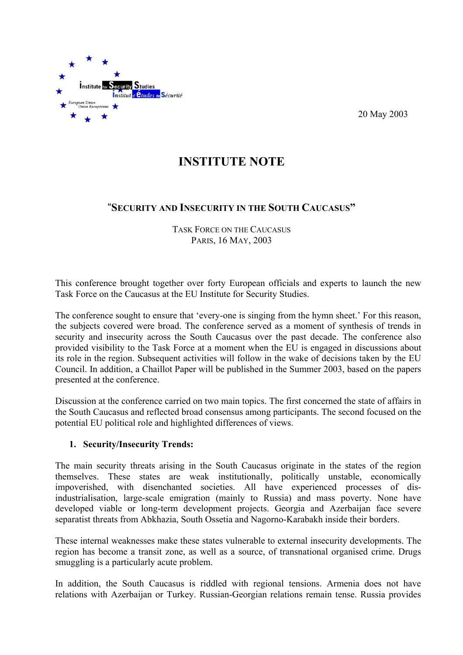

20 May 2003

## **INSTITUTE NOTE**

## "**SECURITY AND INSECURITY IN THE SOUTH CAUCASUS"**

TASK FORCE ON THE CAUCASUS PARIS, 16 MAY, 2003

This conference brought together over forty European officials and experts to launch the new Task Force on the Caucasus at the EU Institute for Security Studies.

The conference sought to ensure that 'every-one is singing from the hymn sheet.' For this reason, the subjects covered were broad. The conference served as a moment of synthesis of trends in security and insecurity across the South Caucasus over the past decade. The conference also provided visibility to the Task Force at a moment when the EU is engaged in discussions about its role in the region. Subsequent activities will follow in the wake of decisions taken by the EU Council. In addition, a Chaillot Paper will be published in the Summer 2003, based on the papers presented at the conference.

Discussion at the conference carried on two main topics. The first concerned the state of affairs in the South Caucasus and reflected broad consensus among participants. The second focused on the potential EU political role and highlighted differences of views.

## **1. Security/Insecurity Trends:**

The main security threats arising in the South Caucasus originate in the states of the region themselves. These states are weak institutionally, politically unstable, economically impoverished, with disenchanted societies. All have experienced processes of disindustrialisation, large-scale emigration (mainly to Russia) and mass poverty. None have developed viable or long-term development projects. Georgia and Azerbaijan face severe separatist threats from Abkhazia, South Ossetia and Nagorno-Karabakh inside their borders.

These internal weaknesses make these states vulnerable to external insecurity developments. The region has become a transit zone, as well as a source, of transnational organised crime. Drugs smuggling is a particularly acute problem.

In addition, the South Caucasus is riddled with regional tensions. Armenia does not have relations with Azerbaijan or Turkey. Russian-Georgian relations remain tense. Russia provides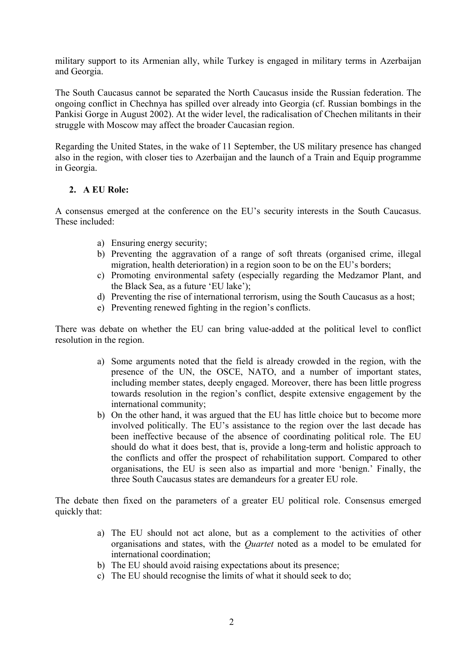military support to its Armenian ally, while Turkey is engaged in military terms in Azerbaijan and Georgia.

The South Caucasus cannot be separated the North Caucasus inside the Russian federation. The ongoing conflict in Chechnya has spilled over already into Georgia (cf. Russian bombings in the Pankisi Gorge in August 2002). At the wider level, the radicalisation of Chechen militants in their struggle with Moscow may affect the broader Caucasian region.

Regarding the United States, in the wake of 11 September, the US military presence has changed also in the region, with closer ties to Azerbaijan and the launch of a Train and Equip programme in Georgia.

## **2. A EU Role:**

A consensus emerged at the conference on the EU's security interests in the South Caucasus. These included:

- a) Ensuring energy security;
- b) Preventing the aggravation of a range of soft threats (organised crime, illegal migration, health deterioration) in a region soon to be on the EU's borders;
- c) Promoting environmental safety (especially regarding the Medzamor Plant, and the Black Sea, as a future 'EU lake');
- d) Preventing the rise of international terrorism, using the South Caucasus as a host;
- e) Preventing renewed fighting in the region's conflicts.

There was debate on whether the EU can bring value-added at the political level to conflict resolution in the region.

- a) Some arguments noted that the field is already crowded in the region, with the presence of the UN, the OSCE, NATO, and a number of important states, including member states, deeply engaged. Moreover, there has been little progress towards resolution in the region's conflict, despite extensive engagement by the international community;
- b) On the other hand, it was argued that the EU has little choice but to become more involved politically. The EU's assistance to the region over the last decade has been ineffective because of the absence of coordinating political role. The EU should do what it does best, that is, provide a long-term and holistic approach to the conflicts and offer the prospect of rehabilitation support. Compared to other organisations, the EU is seen also as impartial and more 'benign.' Finally, the three South Caucasus states are demandeurs for a greater EU role.

The debate then fixed on the parameters of a greater EU political role. Consensus emerged quickly that:

- a) The EU should not act alone, but as a complement to the activities of other organisations and states, with the *Quartet* noted as a model to be emulated for international coordination;
- b) The EU should avoid raising expectations about its presence;
- c) The EU should recognise the limits of what it should seek to do;